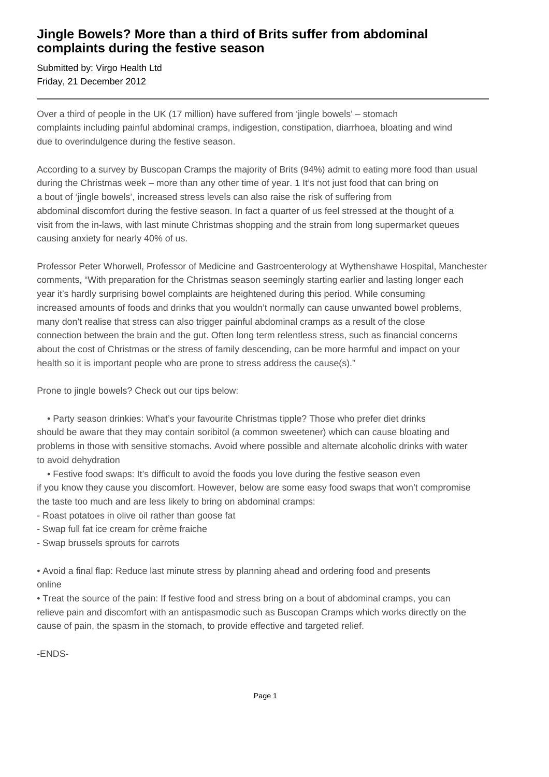## **Jingle Bowels? More than a third of Brits suffer from abdominal complaints during the festive season**

Submitted by: Virgo Health Ltd Friday, 21 December 2012

Over a third of people in the UK (17 million) have suffered from 'jingle bowels' – stomach complaints including painful abdominal cramps, indigestion, constipation, diarrhoea, bloating and wind due to overindulgence during the festive season.

According to a survey by Buscopan Cramps the majority of Brits (94%) admit to eating more food than usual during the Christmas week – more than any other time of year. 1 It's not just food that can bring on a bout of 'jingle bowels', increased stress levels can also raise the risk of suffering from abdominal discomfort during the festive season. In fact a quarter of us feel stressed at the thought of a visit from the in-laws, with last minute Christmas shopping and the strain from long supermarket queues causing anxiety for nearly 40% of us.

Professor Peter Whorwell, Professor of Medicine and Gastroenterology at Wythenshawe Hospital, Manchester comments, "With preparation for the Christmas season seemingly starting earlier and lasting longer each year it's hardly surprising bowel complaints are heightened during this period. While consuming increased amounts of foods and drinks that you wouldn't normally can cause unwanted bowel problems, many don't realise that stress can also trigger painful abdominal cramps as a result of the close connection between the brain and the gut. Often long term relentless stress, such as financial concerns about the cost of Christmas or the stress of family descending, can be more harmful and impact on your health so it is important people who are prone to stress address the cause(s)."

Prone to jingle bowels? Check out our tips below:

 • Party season drinkies: What's your favourite Christmas tipple? Those who prefer diet drinks should be aware that they may contain soribitol (a common sweetener) which can cause bloating and problems in those with sensitive stomachs. Avoid where possible and alternate alcoholic drinks with water to avoid dehydration

 • Festive food swaps: It's difficult to avoid the foods you love during the festive season even if you know they cause you discomfort. However, below are some easy food swaps that won't compromise the taste too much and are less likely to bring on abdominal cramps:

- Roast potatoes in olive oil rather than goose fat

- Swap full fat ice cream for crème fraiche
- Swap brussels sprouts for carrots

• Avoid a final flap: Reduce last minute stress by planning ahead and ordering food and presents online

• Treat the source of the pain: If festive food and stress bring on a bout of abdominal cramps, you can relieve pain and discomfort with an antispasmodic such as Buscopan Cramps which works directly on the cause of pain, the spasm in the stomach, to provide effective and targeted relief.

-ENDS-